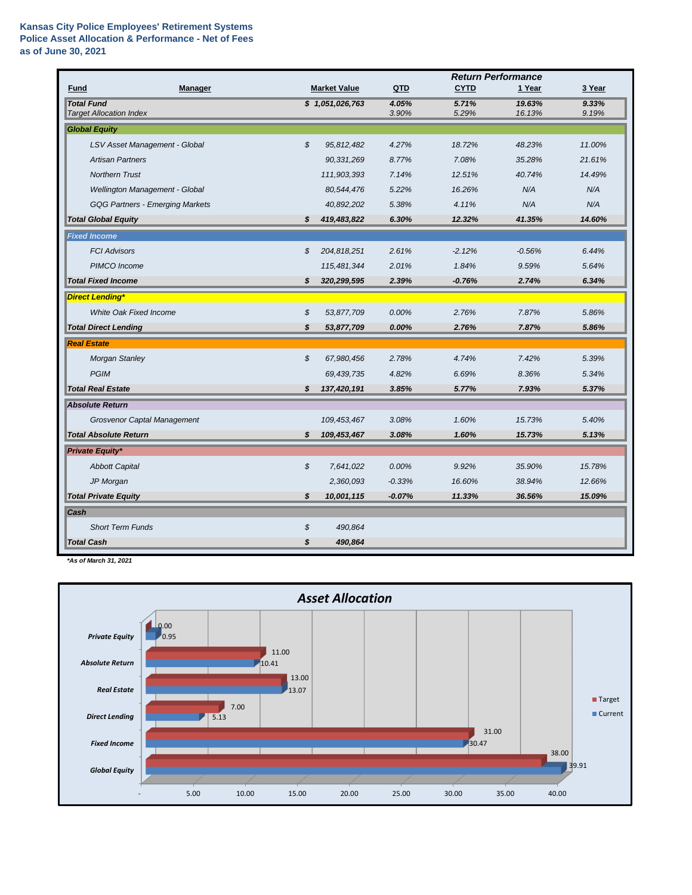## **Kansas City Police Employees' Retirement Systems Police Asset Allocation & Performance - Net of Fees as of June 30, 2021**

|                                                     |    |                     | <b>Return Performance</b> |                |                  |                |  |
|-----------------------------------------------------|----|---------------------|---------------------------|----------------|------------------|----------------|--|
| Fund<br><b>Manager</b>                              |    | <b>Market Value</b> | QTD                       | <b>CYTD</b>    | 1 Year           | 3 Year         |  |
| <b>Total Fund</b><br><b>Target Allocation Index</b> |    | \$1,051,026,763     | 4.05%<br>3.90%            | 5.71%<br>5.29% | 19.63%<br>16.13% | 9.33%<br>9.19% |  |
| <b>Global Equity</b>                                |    |                     |                           |                |                  |                |  |
|                                                     |    |                     |                           |                |                  |                |  |
| LSV Asset Management - Global                       | \$ | 95,812,482          | 4.27%                     | 18.72%         | 48.23%           | 11.00%         |  |
| <b>Artisan Partners</b>                             |    | 90,331,269          | 8.77%                     | 7.08%          | 35.28%           | 21.61%         |  |
| <b>Northern Trust</b>                               |    | 111,903,393         | 7.14%                     | 12.51%         | 40.74%           | 14.49%         |  |
| Wellington Management - Global                      |    | 80,544,476          | 5.22%                     | 16.26%         | N/A              | N/A            |  |
| <b>GQG Partners - Emerging Markets</b>              |    | 40,892,202          | 5.38%                     | 4.11%          | N/A              | N/A            |  |
| <b>Total Global Equity</b>                          | \$ | 419,483,822         | 6.30%                     | 12.32%         | 41.35%           | 14.60%         |  |
| <b>Fixed Income</b>                                 |    |                     |                           |                |                  |                |  |
| <b>FCI Advisors</b>                                 | \$ | 204,818,251         | 2.61%                     | $-2.12%$       | $-0.56%$         | 6.44%          |  |
| PIMCO Income                                        |    | 115,481,344         | 2.01%                     | 1.84%          | 9.59%            | 5.64%          |  |
| <b>Total Fixed Income</b>                           | \$ | 320,299,595         | 2.39%                     | $-0.76%$       | 2.74%            | 6.34%          |  |
| <b>Direct Lending*</b>                              |    |                     |                           |                |                  |                |  |
| White Oak Fixed Income                              | \$ | 53,877,709          | 0.00%                     | 2.76%          | 7.87%            | 5.86%          |  |
| <b>Total Direct Lending</b>                         | \$ | 53,877,709          | 0.00%                     | 2.76%          | 7.87%            | 5.86%          |  |
| <b>Real Estate</b>                                  |    |                     |                           |                |                  |                |  |
| <b>Morgan Stanley</b>                               | \$ | 67,980,456          | 2.78%                     | 4.74%          | 7.42%            | 5.39%          |  |
| <b>PGIM</b>                                         |    | 69,439,735          | 4.82%                     | 6.69%          | 8.36%            | 5.34%          |  |
| <b>Total Real Estate</b>                            | \$ | 137,420,191         | 3.85%                     | 5.77%          | 7.93%            | 5.37%          |  |
| <b>Absolute Return</b>                              |    |                     |                           |                |                  |                |  |
| Grosvenor Captal Management                         |    | 109,453,467         | 3.08%                     | 1.60%          | 15.73%           | 5.40%          |  |
| <b>Total Absolute Return</b>                        | s  | 109,453,467         | 3.08%                     | 1.60%          | 15.73%           | 5.13%          |  |
| <b>Private Equity*</b>                              |    |                     |                           |                |                  |                |  |
| <b>Abbott Capital</b>                               | \$ | 7,641,022           | 0.00%                     | 9.92%          | 35.90%           | 15.78%         |  |
| JP Morgan                                           |    | 2,360,093           | $-0.33%$                  | 16.60%         | 38.94%           | 12.66%         |  |
| <b>Total Private Equity</b>                         | \$ | 10,001,115          | $-0.07%$                  | 11.33%         | 36.56%           | 15.09%         |  |
| Cash                                                |    |                     |                           |                |                  |                |  |
| <b>Short Term Funds</b>                             | \$ | 490,864             |                           |                |                  |                |  |
| <b>Total Cash</b>                                   | \$ | 490,864             |                           |                |                  |                |  |

*\*As of March 31, 2021*